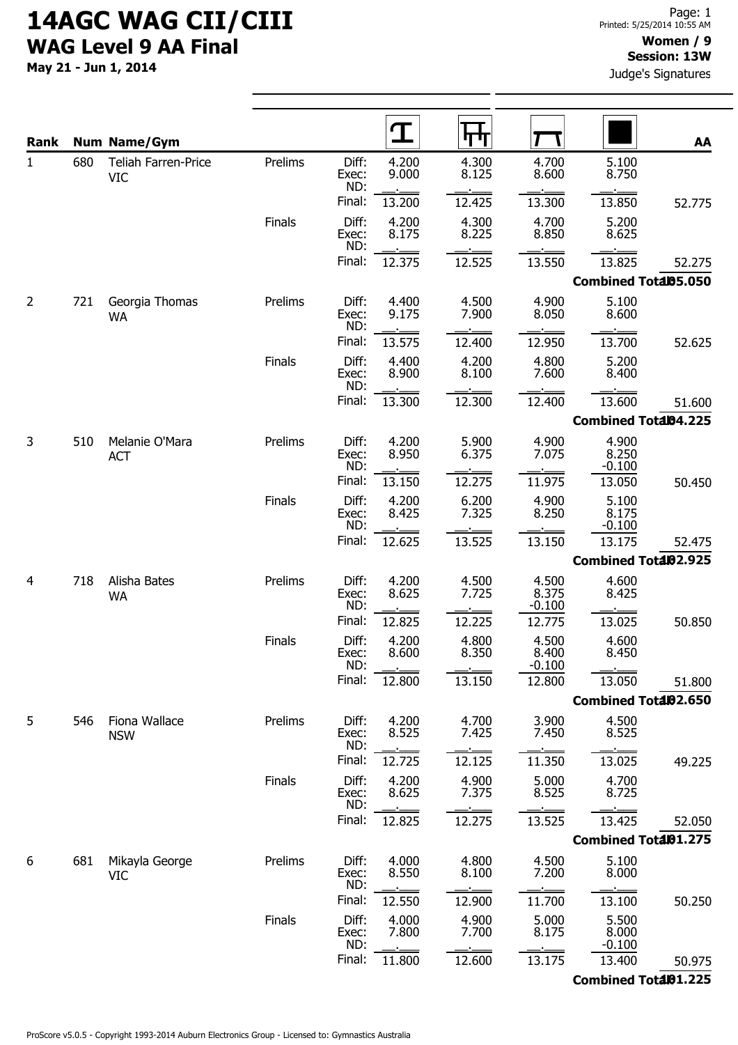May 21 - Jun 1, 2014

### Session: 13W

Judge's Signatures

| Rank |     | <b>Num Name/Gym</b>                      |               | $\mathbf T$                             | П<br>L,        |                            |                            | AA     |
|------|-----|------------------------------------------|---------------|-----------------------------------------|----------------|----------------------------|----------------------------|--------|
| 1    | 680 | <b>Teliah Farren-Price</b><br><b>VIC</b> | Prelims       | Diff:<br>4.200<br>9.000<br>Exec:<br>ND: | 4.300<br>8.125 | 4.700<br>8.600             | 5.100<br>8.750             |        |
|      |     |                                          |               | Final:<br>13.200                        | 12.425         | 13.300                     | 13.850                     | 52.775 |
|      |     |                                          | Finals        | Diff:<br>4.200<br>8.175<br>Exec:<br>ND: | 4.300<br>8.225 | 4.700<br>8.850             | 5.200<br>8.625             |        |
|      |     |                                          |               | Final:<br>12.375                        | 12.525         | 13.550                     | 13.825                     | 52.275 |
|      |     |                                          |               |                                         |                |                            | Combined Total05.050       |        |
| 2    | 721 | Georgia Thomas<br><b>WA</b>              | Prelims       | Diff:<br>4.400<br>9.175<br>Exec:<br>ND: | 4.500<br>7.900 | 4.900<br>8.050             | 5.100<br>8.600             |        |
|      |     |                                          |               | Final:<br>13.575                        | 12.400         | 12.950                     | 13.700                     | 52.625 |
|      |     |                                          | <b>Finals</b> | Diff:<br>4.400<br>8.900<br>Exec:<br>ND: | 4.200<br>8.100 | 4.800<br>7.600             | 5.200<br>8.400             |        |
|      |     |                                          |               | Final:<br>13.300                        | 12.300         | 12.400                     | 13.600                     | 51.600 |
|      |     |                                          |               |                                         |                |                            | Combined Total04.225       |        |
| 3    | 510 | Melanie O'Mara<br><b>ACT</b>             | Prelims       | Diff:<br>4.200<br>8.950<br>Exec:<br>ND: | 5.900<br>6.375 | 4.900<br>7.075             | 4.900<br>8.250<br>$-0.100$ |        |
|      |     |                                          |               | Final:<br>13.150                        | 12.275         | 11.975                     | 13.050                     | 50.450 |
|      |     |                                          | Finals        | Diff:<br>4.200<br>8.425<br>Exec:<br>ND: | 6.200<br>7.325 | 4.900<br>8.250             | 5.100<br>8.175<br>$-0.100$ |        |
|      |     |                                          |               | Final:<br>12.625                        | 13.525         | 13.150                     | 13.175                     | 52.475 |
|      |     |                                          |               |                                         |                |                            | Combined Total02.925       |        |
| 4    | 718 | Alisha Bates<br><b>WA</b>                | Prelims       | Diff:<br>4.200<br>8.625<br>Exec:<br>ND: | 4.500<br>7.725 | 4.500<br>8.375<br>$-0.100$ | 4.600<br>8.425             |        |
|      |     |                                          |               | Final:<br>12.825                        | 12.225         | 12.775                     | 13.025                     | 50.850 |
|      |     |                                          | Finals        | Diff:<br>4.200<br>8.600<br>Exec:<br>ND: | 4.800<br>8.350 | 4.500<br>8.400<br>$-0.100$ | 4.600<br>8.450             |        |
|      |     |                                          |               | Final:<br>12.800                        | 13.150         | 12.800                     | 13.050                     | 51.800 |
|      |     |                                          |               |                                         |                |                            | Combined Total02.650       |        |
| 5    | 546 | Fiona Wallace<br><b>NSW</b>              | Prelims       | Diff:<br>4.200<br>8.525<br>Exec:<br>ND: | 4.700<br>7.425 | 3.900<br>7.450             | 4.500<br>8.525             |        |
|      |     |                                          |               | Final:<br>12.725                        | 12.125         | 11.350                     | 13.025                     | 49.225 |
|      |     |                                          | Finals        | Diff:<br>4.200<br>8.625<br>Exec:<br>ND: | 4.900<br>7.375 | 5.000<br>8.525             | 4.700<br>8.725             |        |
|      |     |                                          |               | Final:<br>12.825                        | 12.275         | 13.525                     | 13.425                     | 52.050 |
|      |     |                                          |               |                                         |                |                            | Combined Total01.275       |        |
| 6    | 681 | Mikayla George<br><b>VIC</b>             | Prelims       | 4.000<br>Diff:<br>8.550<br>Exec:<br>ND: | 4.800<br>8.100 | 4.500<br>7.200             | 5.100<br>8.000             |        |
|      |     |                                          |               | Final:<br>12.550                        | 12.900         | 11.700                     | 13.100                     | 50.250 |
|      |     |                                          | Finals        | 4.000<br>Diff:<br>7.800<br>Exec:<br>ND: | 4.900<br>7.700 | 5.000<br>8.175             | 5.500<br>8.000<br>$-0.100$ |        |
|      |     |                                          |               | Final:<br>11.800                        | 12.600         | 13.175                     | 13.400                     | 50.975 |
|      |     |                                          |               |                                         |                |                            | Combined Total01.225       |        |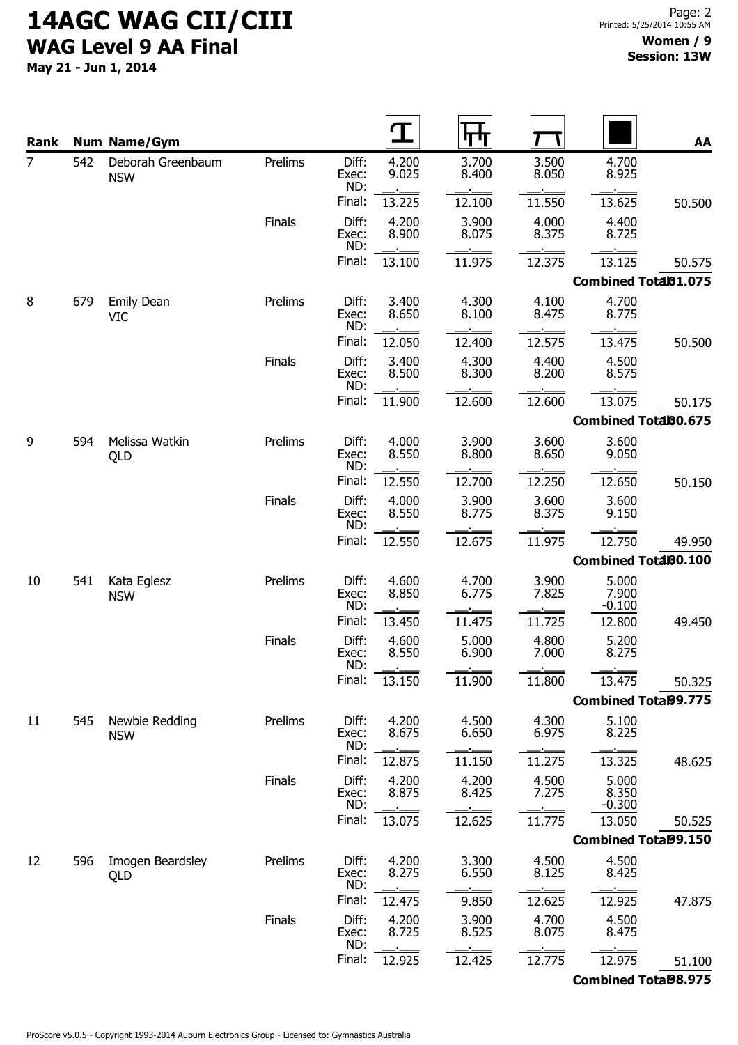May 21 - Jun 1, 2014

| Rank |     | <b>Num Name/Gym</b>             |               |                       |                | पाप            |                |                             | AA                          |
|------|-----|---------------------------------|---------------|-----------------------|----------------|----------------|----------------|-----------------------------|-----------------------------|
| 7    | 542 | Deborah Greenbaum<br><b>NSW</b> | Prelims       | Diff:<br>Exec:<br>ND: | 4.200<br>9.025 | 3.700<br>8.400 | 3.500<br>8.050 | 4.700<br>8.925              |                             |
|      |     |                                 |               | Final:                | 13.225         | 12.100         | 11.550         | 13.625                      | 50.500                      |
|      |     |                                 | <b>Finals</b> | Diff:<br>Exec:<br>ND: | 4.200<br>8.900 | 3.900<br>8.075 | 4.000<br>8.375 | 4.400<br>8.725              |                             |
|      |     |                                 |               | Final:                | 13.100         | 11.975         | 12.375         | 13.125                      | 50.575                      |
|      |     |                                 |               |                       |                |                |                |                             | Combined Total01.075        |
| 8    | 679 | <b>Emily Dean</b><br><b>VIC</b> | Prelims       | Diff:<br>Exec:<br>ND: | 3.400<br>8.650 | 4.300<br>8.100 | 4.100<br>8.475 | 4.700<br>8.775              |                             |
|      |     |                                 |               | Final:                | 12.050         | 12.400         | 12.575         | 13.475                      | 50.500                      |
|      |     |                                 | <b>Finals</b> | Diff:<br>Exec:<br>ND: | 3.400<br>8.500 | 4.300<br>8.300 | 4.400<br>8.200 | 4.500<br>8.575              |                             |
|      |     |                                 |               | Final:                | 11.900         | 12.600         | 12.600         | 13.075                      | 50.175                      |
|      |     |                                 |               |                       |                |                |                | Combined Total00.675        |                             |
| 9    | 594 | Melissa Watkin<br>QLD           | Prelims       | Diff:<br>Exec:<br>ND: | 4.000<br>8.550 | 3.900<br>8.800 | 3.600<br>8.650 | 3.600<br>9.050              |                             |
|      |     |                                 |               | Final:                | 12.550         | 12.700         | 12.250         | 12.650                      | 50.150                      |
|      |     |                                 | <b>Finals</b> | Diff:<br>Exec:<br>ND: | 4.000<br>8.550 | 3.900<br>8.775 | 3.600<br>8.375 | 3.600<br>9.150              |                             |
|      |     |                                 |               | Final:                | 12.550         | 12.675         | 11.975         | 12.750                      | 49.950                      |
|      |     |                                 |               |                       |                |                |                |                             | Combined Total00.100        |
| 10   | 541 | Kata Eglesz<br><b>NSW</b>       | Prelims       | Diff:<br>Exec:<br>ND: | 4.600<br>8.850 | 4.700<br>6.775 | 3.900<br>7.825 | 5.000<br>7.900<br>$-0.100$  |                             |
|      |     |                                 |               | Final:                | 13.450         | 11.475         | 11.725         | 12.800                      | 49.450                      |
|      |     |                                 | <b>Finals</b> | Diff:<br>Exec:<br>ND: | 4.600<br>8.550 | 5.000<br>6.900 | 4.800<br>7.000 | 5.200<br>8.275              |                             |
|      |     |                                 |               | Final:                | 13.150         | 11.900         | 11.800         | 13.475                      | 50.325                      |
|      |     |                                 |               |                       |                |                |                | <b>Combined Total99.775</b> |                             |
| 11   | 545 | Newbie Redding<br><b>NSW</b>    | Prelims       | Diff:<br>Exec:<br>ND: | 4.200<br>8.675 | 4.500<br>6.650 | 4.300<br>6.975 | 5.100<br>8.225              |                             |
|      |     |                                 |               | Final:                | 12.875         | 11.150         | 11.275         | 13.325                      | 48.625                      |
|      |     |                                 | Finals        | Diff:<br>Exec:<br>ND: | 4.200<br>8.875 | 4.200<br>8.425 | 4.500<br>7.275 | 5.000<br>8.350<br>$-0.300$  |                             |
|      |     |                                 |               | Final:                | 13.075         | 12.625         | 11.775         | 13.050                      | 50.525                      |
|      |     |                                 |               |                       |                |                |                |                             | <b>Combined Total99.150</b> |
| 12   | 596 | Imogen Beardsley<br>QLD         | Prelims       | Diff:<br>Exec:<br>ND: | 4.200<br>8.275 | 3.300<br>6.550 | 4.500<br>8.125 | 4.500<br>8.425              |                             |
|      |     |                                 |               | Final:                | 12.475         | 9.850          | 12.625         | 12.925                      | 47.875                      |
|      |     |                                 | <b>Finals</b> | Diff:<br>Exec:<br>ND: | 4.200<br>8.725 | 3.900<br>8.525 | 4.700<br>8.075 | 4.500<br>8.475              |                             |
|      |     |                                 |               | Final:                | 12.925         | 12.425         | 12.775         | 12.975                      | 51.100                      |

Combined Total98.975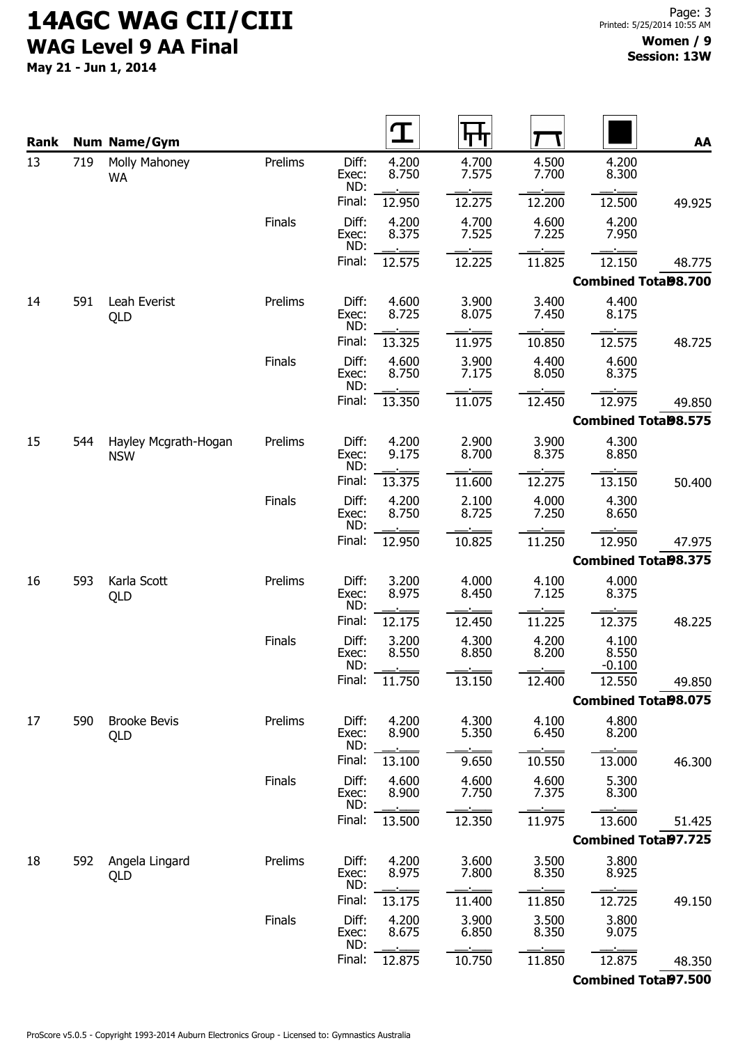May 21 - Jun 1, 2014

| Rank |     | <b>Num Name/Gym</b>                |               |                       |                | Ч              |                |                             | AA     |
|------|-----|------------------------------------|---------------|-----------------------|----------------|----------------|----------------|-----------------------------|--------|
| 13   | 719 | Molly Mahoney<br>WA                | Prelims       | Diff:<br>Exec:        | 4.200<br>8.750 | 4.700<br>7.575 | 4.500<br>7.700 | 4.200<br>8.300              |        |
|      |     |                                    |               | ND:<br>Final:         | 12.950         | 12.275         | 12.200         | 12.500                      | 49.925 |
|      |     |                                    | Finals        | Diff:<br>Exec:        | 4.200<br>8.375 | 4.700<br>7.525 | 4.600<br>7.225 | 4.200<br>7.950              |        |
|      |     |                                    |               | ND:<br>Final:         | 12.575         | 12.225         | 11.825         | 12.150                      | 48.775 |
|      |     |                                    |               |                       |                |                |                | <b>Combined Total98.700</b> |        |
| 14   | 591 | Leah Everist<br>QLD                | Prelims       | Diff:<br>Exec:<br>ND: | 4.600<br>8.725 | 3.900<br>8.075 | 3.400<br>7.450 | 4.400<br>8.175              |        |
|      |     |                                    |               | Final:                | 13.325         | 11.975         | 10.850         | 12.575                      | 48.725 |
|      |     |                                    | <b>Finals</b> | Diff:<br>Exec:<br>ND: | 4.600<br>8.750 | 3.900<br>7.175 | 4.400<br>8.050 | 4.600<br>8.375              |        |
|      |     |                                    |               | Final:                | 13.350         | 11.075         | 12.450         | 12.975                      | 49.850 |
|      |     |                                    |               |                       |                |                |                | <b>Combined Total98.575</b> |        |
| 15   | 544 | Hayley Mcgrath-Hogan<br><b>NSW</b> | Prelims       | Diff:<br>Exec:<br>ND: | 4.200<br>9.175 | 2.900<br>8.700 | 3.900<br>8.375 | 4.300<br>8.850              |        |
|      |     |                                    |               | Final:                | 13.375         | 11.600         | 12.275         | 13.150                      | 50.400 |
|      |     |                                    | Finals        | Diff:<br>Exec:<br>ND: | 4.200<br>8.750 | 2.100<br>8.725 | 4.000<br>7.250 | 4.300<br>8.650              |        |
|      |     |                                    |               | Final:                | 12.950         | 10.825         | 11.250         | 12.950                      | 47.975 |
|      |     |                                    |               |                       |                |                |                | <b>Combined Tota98.375</b>  |        |
| 16   | 593 | Karla Scott<br>QLD                 | Prelims       | Diff:<br>Exec:<br>ND: | 3.200<br>8.975 | 4.000<br>8.450 | 4.100<br>7.125 | 4.000<br>8.375              |        |
|      |     |                                    |               | Final:                | 12.175         | 12.450         | 11.225         | 12.375                      | 48.225 |
|      |     |                                    | <b>Finals</b> | Diff:<br>Exec:<br>ND: | 3.200<br>8.550 | 4.300<br>8.850 | 4.200<br>8.200 | 4.100<br>8.550<br>$-0.100$  |        |
|      |     |                                    |               | Final:                | 11.750         | 13.150         | 12.400         | 12.550                      | 49.850 |
|      |     |                                    |               |                       |                |                |                | <b>Combined Total98.075</b> |        |
| 17   | 590 | <b>Brooke Bevis</b><br>QLD         | Prelims       | Diff:<br>Exec:<br>ND: | 4.200<br>8.900 | 4.300<br>5.350 | 4.100<br>6.450 | 4.800<br>8.200              |        |
|      |     |                                    |               | Final:                | 13.100         | 9.650          | 10.550         | 13.000                      | 46.300 |
|      |     |                                    | Finals        | Diff:<br>Exec:<br>ND: | 4.600<br>8.900 | 4.600<br>7.750 | 4.600<br>7.375 | 5.300<br>8.300              |        |
|      |     |                                    |               | Final:                | 13.500         | 12.350         | 11.975         | 13.600                      | 51.425 |
|      |     |                                    |               |                       |                |                |                | <b>Combined Total97.725</b> |        |
| 18   | 592 | Angela Lingard<br>QLD              | Prelims       | Diff:<br>Exec:<br>ND: | 4.200<br>8.975 | 3.600<br>7.800 | 3.500<br>8.350 | 3.800<br>8.925              |        |
|      |     |                                    |               | Final:                | 13.175         | 11.400         | 11.850         | 12.725                      | 49.150 |
|      |     |                                    | <b>Finals</b> | Diff:<br>Exec:<br>ND: | 4.200<br>8.675 | 3.900<br>6.850 | 3.500<br>8.350 | 3.800<br>9.075              |        |
|      |     |                                    |               | Final:                | 12.875         | 10.750         | 11.850         | 12.875                      | 48.350 |

Combined Total97.500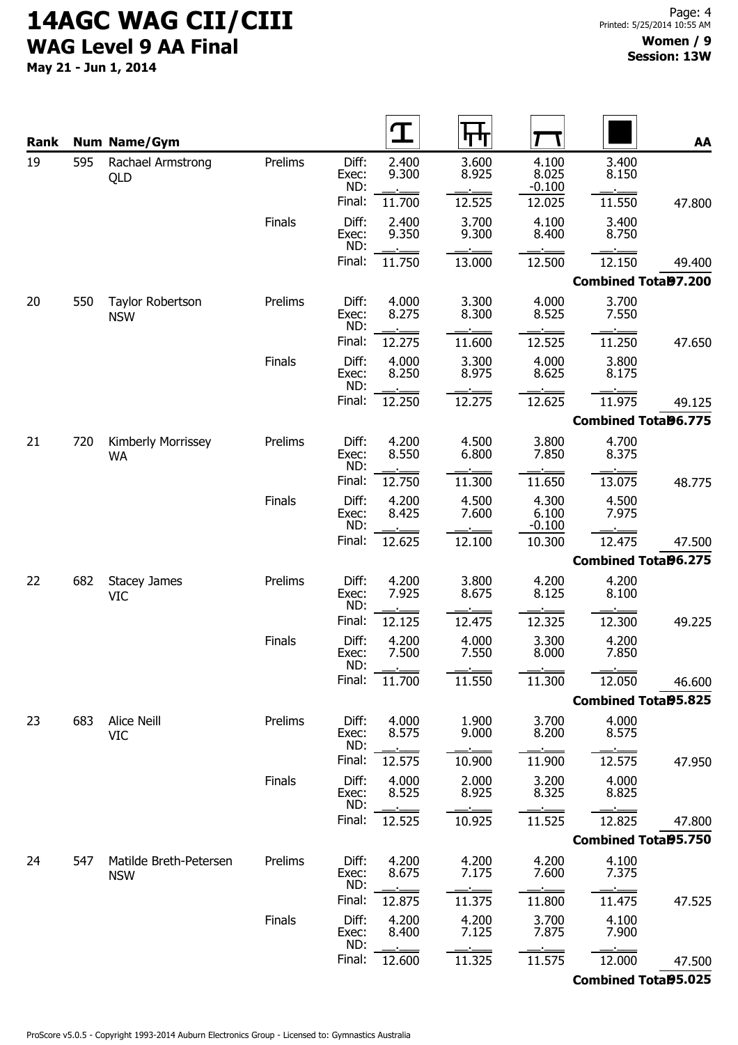May 21 - Jun 1, 2014

| Rank |     | <b>Num Name/Gym</b>                   |               |                       |                |                |                            |                             | AA     |
|------|-----|---------------------------------------|---------------|-----------------------|----------------|----------------|----------------------------|-----------------------------|--------|
| 19   | 595 | Rachael Armstrong<br>QLD              | Prelims       | Diff:<br>Exec:        | 2.400<br>9.300 | 3.600<br>8.925 | 4.100<br>8.025             | 3.400<br>8.150              |        |
|      |     |                                       |               | ND:<br>Final:         | 11.700         | 12.525         | $-0.100$<br>12.025         | 11.550                      | 47.800 |
|      |     |                                       | <b>Finals</b> | Diff:                 | 2.400          | 3.700          | 4.100                      | 3.400                       |        |
|      |     |                                       |               | Exec:<br>ND:          | 9.350          | 9.300          | 8.400                      | 8.750                       |        |
|      |     |                                       |               | Final:                | 11.750         | 13.000         | 12.500                     | 12.150                      | 49.400 |
|      |     |                                       |               |                       |                |                |                            | Combined Total97.200        |        |
| 20   | 550 | <b>Taylor Robertson</b><br><b>NSW</b> | Prelims       | Diff:<br>Exec:<br>ND: | 4.000<br>8.275 | 3.300<br>8.300 | 4.000<br>8.525             | 3.700<br>7.550              |        |
|      |     |                                       |               | Final:                | 12.275         | 11.600         | 12.525                     | 11.250                      | 47.650 |
|      |     |                                       | <b>Finals</b> | Diff:<br>Exec:<br>ND: | 4.000<br>8.250 | 3.300<br>8.975 | 4.000<br>8.625             | 3.800<br>8.175              |        |
|      |     |                                       |               | Final:                | 12.250         | 12.275         | 12.625                     | 11.975                      | 49.125 |
|      |     |                                       |               |                       |                |                |                            | <b>Combined Tota96.775</b>  |        |
| 21   | 720 | Kimberly Morrissey<br>WA              | Prelims       | Diff:<br>Exec:<br>ND: | 4.200<br>8.550 | 4.500<br>6.800 | 3.800<br>7.850             | 4.700<br>8.375              |        |
|      |     |                                       |               | Final:                | 12.750         | 11.300         | 11.650                     | 13.075                      | 48.775 |
|      |     |                                       | <b>Finals</b> | Diff:<br>Exec:<br>ND: | 4.200<br>8.425 | 4.500<br>7.600 | 4.300<br>6.100<br>$-0.100$ | 4.500<br>7.975              |        |
|      |     |                                       |               | Final:                | 12.625         | 12.100         | 10.300                     | 12.475                      | 47.500 |
|      |     |                                       |               |                       |                |                |                            | <b>Combined Tota96.275</b>  |        |
| 22   | 682 | <b>Stacey James</b><br><b>VIC</b>     | Prelims       | Diff:<br>Exec:<br>ND: | 4.200<br>7.925 | 3.800<br>8.675 | 4.200<br>8.125             | 4.200<br>8.100              |        |
|      |     |                                       |               | Final:                | 12.125         | 12.475         | 12.325                     | 12.300                      | 49.225 |
|      |     |                                       | <b>Finals</b> | Diff:<br>Exec:<br>ND: | 4.200<br>7.500 | 4.000<br>7.550 | 3.300<br>8.000             | 4.200<br>7.850              |        |
|      |     |                                       |               | Final:                | 11.700         | 11.550         | 11.300                     | 12.050                      | 46.600 |
|      |     |                                       |               |                       |                |                |                            | <b>Combined Tota95.825</b>  |        |
| 23   | 683 | Alice Neill<br><b>VIC</b>             | Prelims       | Diff:<br>Exec:<br>ND: | 4.000<br>8.575 | 1.900<br>9.000 | 3.700<br>8.200             | 4.000<br>8.575              |        |
|      |     |                                       |               | Final:                | 12.575         | 10.900         | 11.900                     | 12.575                      | 47.950 |
|      |     |                                       | Finals        | Diff:<br>Exec:<br>ND: | 4.000<br>8.525 | 2.000<br>8.925 | 3.200<br>8.325             | 4.000<br>8.825              |        |
|      |     |                                       |               | Final:                | 12.525         | 10.925         | 11.525                     | 12.825                      | 47.800 |
|      |     |                                       |               |                       |                |                |                            | <b>Combined Total95.750</b> |        |
| 24   | 547 | Matilde Breth-Petersen<br><b>NSW</b>  | Prelims       | Diff:<br>Exec:<br>ND: | 4.200<br>8.675 | 4.200<br>7.175 | 4.200<br>7.600             | 4.100<br>7.375              |        |
|      |     |                                       |               | Final:                | 12.875         | 11.375         | 11.800                     | 11.475                      | 47.525 |
|      |     |                                       | Finals        | Diff:<br>Exec:<br>ND: | 4.200<br>8.400 | 4.200<br>7.125 | 3.700<br>7.875             | 4.100<br>7.900              |        |
|      |     |                                       |               | Final:                | 12.600         | 11.325         | 11.575                     | 12.000                      | 47.500 |
|      |     |                                       |               |                       |                |                |                            | <b>Combined Total95.025</b> |        |